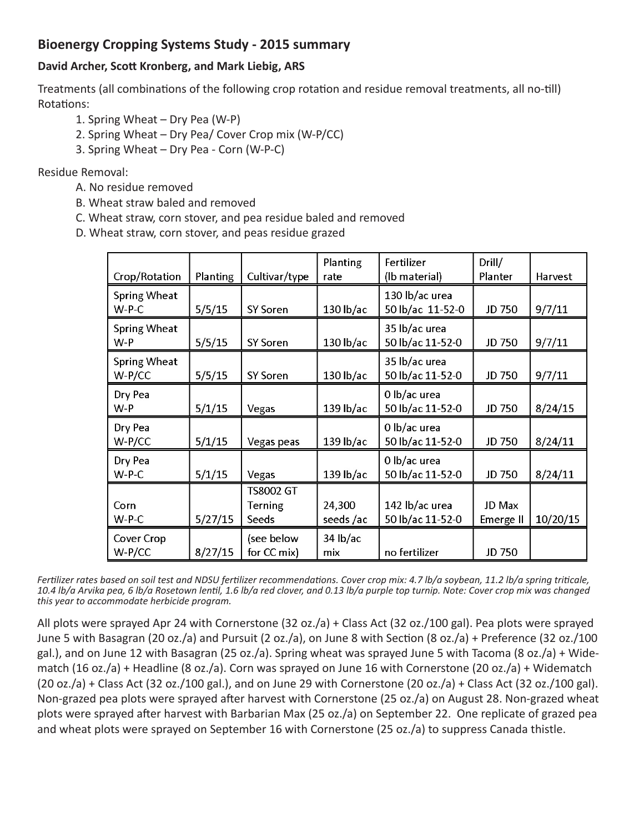## **Bioenergy Cropping Systems Study - 2015 summary**

## **David Archer, Scott Kronberg, and Mark Liebig, ARS**

Treatments (all combinations of the following crop rotation and residue removal treatments, all no-till) Rotations:

- 1. Spring Wheat Dry Pea (W-P)
- 2. Spring Wheat Dry Pea/ Cover Crop mix (W-P/CC)
- 3. Spring Wheat Dry Pea Corn (W-P-C)

Residue Removal:

- A. No residue removed
- B. Wheat straw baled and removed
- C. Wheat straw, corn stover, and pea residue baled and removed
- D. Wheat straw, corn stover, and peas residue grazed

| Crop/Rotation                 | Planting | Cultivar/type                 | Planting<br>rate   | Fertilizer<br>(lb material)        | Drill/<br>Planter   | Harvest  |
|-------------------------------|----------|-------------------------------|--------------------|------------------------------------|---------------------|----------|
| <b>Spring Wheat</b><br>$W-PC$ | 5/5/15   | <b>SY Soren</b>               | 130 lb/ac          | 130 lb/ac urea<br>50 lb/ac 11-52-0 | <b>JD 750</b>       | 9/7/11   |
| Spring Wheat<br>W-P           | 5/5/15   | <b>SY Soren</b>               | 130 lb/ac          | 35 lb/ac urea<br>50 lb/ac 11-52-0  | JD 750              | 9/7/11   |
| Spring Wheat<br>$W-P/CC$      | 5/5/15   | SY Soren                      | $130$ lb/ac        | 35 lb/ac urea<br>50 lb/ac 11-52-0  | JD 750              | 9/7/11   |
| Dry Pea<br>W-P                | 5/1/15   | Vegas                         | 139 lb/ac          | 0 lb/ac urea<br>50 lb/ac 11-52-0   | JD 750              | 8/24/15  |
| Dry Pea<br>$W-P/CC$           | 5/1/15   | Vegas peas                    | $139$ lb/ac        | 0 lb/ac urea<br>50 lb/ac 11-52-0   | JD 750              | 8/24/11  |
| Dry Pea<br>$W-P-C$            | 5/1/15   | Vegas                         | 139 lb/ac          | 0 lb/ac urea<br>50 lb/ac 11-52-0   | JD 750              | 8/24/11  |
| Corn<br>$W-PC$                | 5/27/15  | TS8002 GT<br>Terning<br>Seeds | 24,300<br>seeds/ac | 142 lb/ac urea<br>50 lb/ac 11-52-0 | JD Max<br>Emerge II | 10/20/15 |
| Cover Crop<br>$W-P/CC$        | 8/27/15  | (see below<br>for CC mix)     | $34$ lb/ac<br>mix  | no fertilizer                      | JD 750              |          |

*Fertilizer rates based on soil test and NDSU fertilizer recommendations. Cover crop mix: 4.7 lb/a soybean, 11.2 lb/a spring triticale, 10.4 lb/a Arvika pea, 6 lb/a Rosetown lentil, 1.6 lb/a red clover, and 0.13 lb/a purple top turnip. Note: Cover crop mix was changed this year to accommodate herbicide program.*

All plots were sprayed Apr 24 with Cornerstone (32 oz./a) + Class Act (32 oz./100 gal). Pea plots were sprayed June 5 with Basagran (20 oz./a) and Pursuit (2 oz./a), on June 8 with Section (8 oz./a) + Preference (32 oz./100 gal.), and on June 12 with Basagran (25 oz./a). Spring wheat was sprayed June 5 with Tacoma (8 oz./a) + Widematch (16 oz./a) + Headline (8 oz./a). Corn was sprayed on June 16 with Cornerstone (20 oz./a) + Widematch  $(20 \text{ oz.}/a)$  + Class Act  $(32 \text{ oz.}/100 \text{ gal.})$ , and on June 29 with Cornerstone  $(20 \text{ oz.}/a)$  + Class Act  $(32 \text{ oz.}/100 \text{ gal.})$ . Non-grazed pea plots were sprayed after harvest with Cornerstone (25 oz./a) on August 28. Non-grazed wheat plots were sprayed after harvest with Barbarian Max (25 oz./a) on September 22. One replicate of grazed pea and wheat plots were sprayed on September 16 with Cornerstone (25 oz./a) to suppress Canada thistle.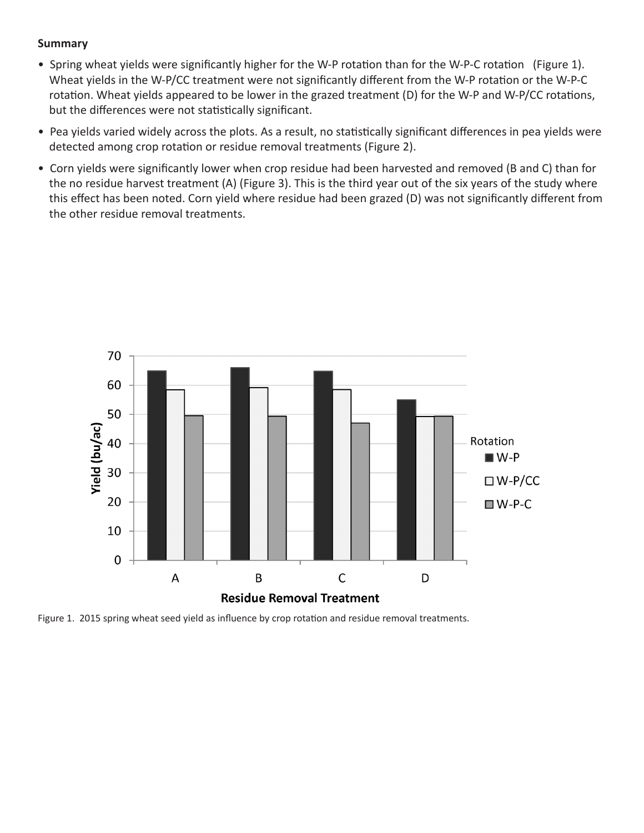## **Summary**

- Spring wheat yields were significantly higher for the W-P rotation than for the W-P-C rotation (Figure 1). Wheat yields in the W-P/CC treatment were not significantly different from the W-P rotation or the W-P-C rotation. Wheat yields appeared to be lower in the grazed treatment (D) for the W-P and W-P/CC rotations, but the differences were not statistically significant.
- Pea yields varied widely across the plots. As a result, no statistically significant differences in pea yields were detected among crop rotation or residue removal treatments (Figure 2).
- Corn yields were significantly lower when crop residue had been harvested and removed (B and C) than for the no residue harvest treatment (A) (Figure 3). This is the third year out of the six years of the study where this effect has been noted. Corn yield where residue had been grazed (D) was not significantly different from the other residue removal treatments.



Figure 1. 2015 spring wheat seed yield as influence by crop rotation and residue removal treatments.